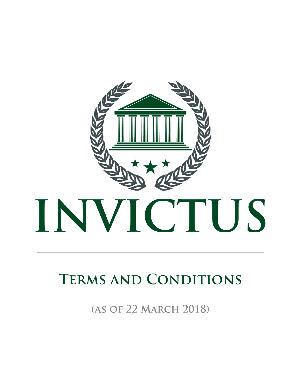

## **TERMS AND CONDITIONS**

(AS OF 22 MARCH 2018)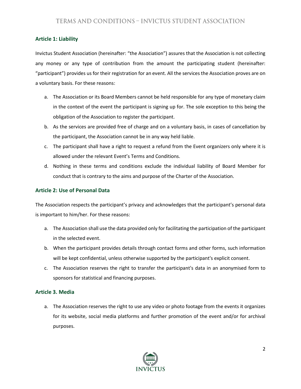## **Article 1: Liability**

Invictus Student Association (hereinafter: "the Association") assures that the Association is not collecting any money or any type of contribution from the amount the participating student (hereinafter: "participant") provides us for their registration for an event. All the services the Association proves are on a voluntary basis. For these reasons:

- a. The Association or its Board Members cannot be held responsible for any type of monetary claim in the context of the event the participant is signing up for. The sole exception to this being the obligation of the Association to register the participant.
- b. As the services are provided free of charge and on a voluntary basis, in cases of cancellation by the participant, the Association cannot be in any way held liable.
- c. The participant shall have a right to request a refund from the Event organizers only where it is allowed under the relevant Event's Terms and Conditions.
- d. Nothing in these terms and conditions exclude the individual liability of Board Member for conduct that is contrary to the aims and purpose of the Charter of the Association.

## **Article 2: Use of Personal Data**

The Association respects the participant's privacy and acknowledges that the participant's personal data is important to him/her. For these reasons:

- a. The Association shall use the data provided only for facilitating the participation of the participant in the selected event.
- b. When the participant provides details through contact forms and other forms, such information will be kept confidential, unless otherwise supported by the participant's explicit consent.
- c. The Association reserves the right to transfer the participant's data in an anonymised form to sponsors for statistical and financing purposes.

## **Article 3. Media**

a. The Association reserves the right to use any video or photo footage from the events it organizes for its website, social media platforms and further promotion of the event and/or for archival purposes.